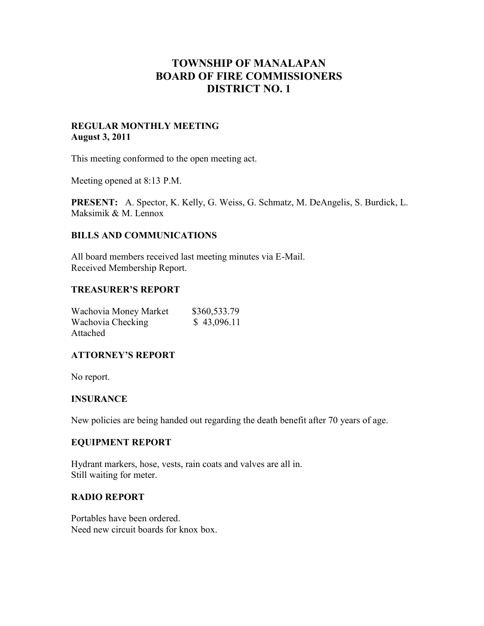# **TOWNSHIP OF MANALAPAN BOARD OF FIRE COMMISSIONERS DISTRICT NO. 1**

#### **REGULAR MONTHLY MEETING August 3, 2011**

This meeting conformed to the open meeting act.

Meeting opened at 8:13 P.M.

**PRESENT:** A. Spector, K. Kelly, G. Weiss, G. Schmatz, M. DeAngelis, S. Burdick, L. Maksimik & M. Lennox

### **BILLS AND COMMUNICATIONS**

All board members received last meeting minutes via E-Mail. Received Membership Report.

#### **TREASURER'S REPORT**

| Wachovia Money Market | \$360,533.79 |
|-----------------------|--------------|
| Wachovia Checking     | \$43,096.11  |
| Attached              |              |

#### **ATTORNEY'S REPORT**

No report.

#### **INSURANCE**

New policies are being handed out regarding the death benefit after 70 years of age.

#### **EQUIPMENT REPORT**

Hydrant markers, hose, vests, rain coats and valves are all in. Still waiting for meter.

#### **RADIO REPORT**

Portables have been ordered. Need new circuit boards for knox box.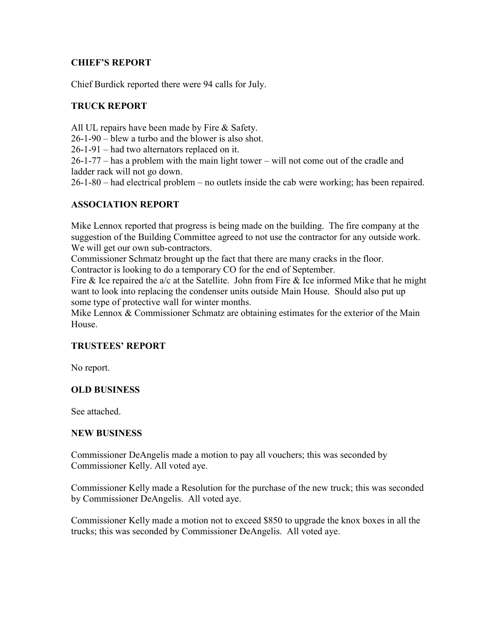# **CHIEF'S REPORT**

Chief Burdick reported there were 94 calls for July.

# **TRUCK REPORT**

All UL repairs have been made by Fire & Safety.

26-1-90 – blew a turbo and the blower is also shot.

26-1-91 – had two alternators replaced on it.

26-1-77 – has a problem with the main light tower – will not come out of the cradle and ladder rack will not go down.

26-1-80 – had electrical problem – no outlets inside the cab were working; has been repaired.

# **ASSOCIATION REPORT**

Mike Lennox reported that progress is being made on the building. The fire company at the suggestion of the Building Committee agreed to not use the contractor for any outside work. We will get our own sub-contractors.

Commissioner Schmatz brought up the fact that there are many cracks in the floor. Contractor is looking to do a temporary CO for the end of September.

Fire  $\&$  Ice repaired the a/c at the Satellite. John from Fire  $\&$  Ice informed Mike that he might want to look into replacing the condenser units outside Main House. Should also put up some type of protective wall for winter months.

Mike Lennox & Commissioner Schmatz are obtaining estimates for the exterior of the Main **House** 

## **TRUSTEES' REPORT**

No report.

## **OLD BUSINESS**

See attached.

#### **NEW BUSINESS**

Commissioner DeAngelis made a motion to pay all vouchers; this was seconded by Commissioner Kelly. All voted aye.

Commissioner Kelly made a Resolution for the purchase of the new truck; this was seconded by Commissioner DeAngelis. All voted aye.

Commissioner Kelly made a motion not to exceed \$850 to upgrade the knox boxes in all the trucks; this was seconded by Commissioner DeAngelis. All voted aye.